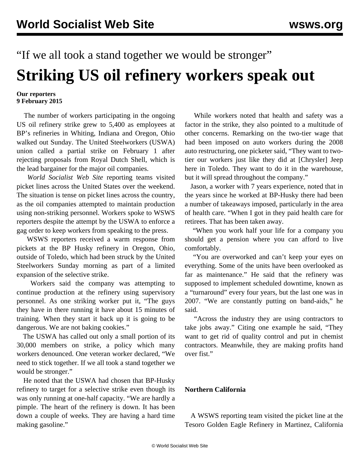# "If we all took a stand together we would be stronger" **Striking US oil refinery workers speak out**

#### **Our reporters 9 February 2015**

 The number of workers participating in the ongoing US oil refinery strike grew to 5,400 as employees at BP's refineries in Whiting, Indiana and Oregon, Ohio walked out Sunday. The United Steelworkers (USWA) union called a partial strike on February 1 after rejecting proposals from Royal Dutch Shell, which is the lead bargainer for the major oil companies.

 *World Socialist Web Site* reporting teams visited picket lines across the United States over the weekend. The situation is tense on picket lines across the country, as the oil companies attempted to maintain production using non-striking personnel. Workers spoke to WSWS reporters despite the attempt by the USWA to enforce a gag order to keep workers from speaking to the press.

 WSWS reporters received a warm response from pickets at the BP Husky refinery in Oregon, Ohio, outside of Toledo, which had been struck by the United Steelworkers Sunday morning as part of a limited expansion of the selective strike.

 Workers said the company was attempting to continue production at the refinery using supervisory personnel. As one striking worker put it, "The guys they have in there running it have about 15 minutes of training. When they start it back up it is going to be dangerous. We are not baking cookies."

 The USWA has called out only a small portion of its 30,000 members on strike, a policy which many workers denounced. One veteran worker declared, "We need to stick together. If we all took a stand together we would be stronger."

 He noted that the USWA had chosen that BP-Husky refinery to target for a selective strike even though its was only running at one-half capacity. "We are hardly a pimple. The heart of the refinery is down. It has been down a couple of weeks. They are having a hard time making gasoline."

 While workers noted that health and safety was a factor in the strike, they also pointed to a multitude of other concerns. Remarking on the two-tier wage that had been imposed on auto workers during the 2008 auto restructuring, one picketer said, "They want to twotier our workers just like they did at [Chrysler] Jeep here in Toledo. They want to do it in the warehouse, but it will spread throughout the company."

 Jason, a worker with 7 years experience, noted that in the years since he worked at BP-Husky there had been a number of takeaways imposed, particularly in the area of health care. "When I got in they paid health care for retirees. That has been taken away.

 "When you work half your life for a company you should get a pension where you can afford to live comfortably.

 "You are overworked and can't keep your eyes on everything. Some of the units have been overlooked as far as maintenance." He said that the refinery was supposed to implement scheduled downtime, known as a "turnaround" every four years, but the last one was in 2007. "We are constantly putting on band-aids," he said.

 "Across the industry they are using contractors to take jobs away." Citing one example he said, "They want to get rid of quality control and put in chemist contractors. Meanwhile, they are making profits hand over fist."

### **Northern California**

 A WSWS reporting team visited the picket line at the Tesoro Golden Eagle Refinery in Martinez, California